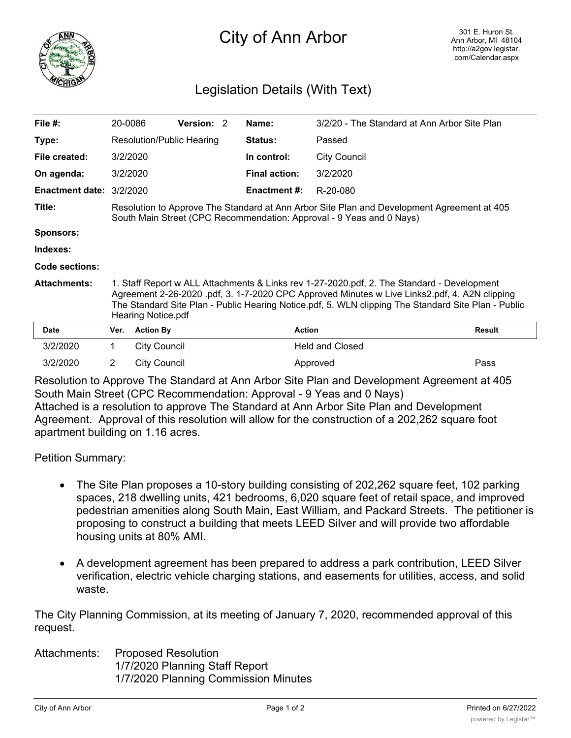

## City of Ann Arbor

## Legislation Details (With Text)

| File $#$ :             | 20-0086                                                                                                                                                                                                                                                                                                                  |                     | <b>Version: 2</b> |  | Name:                | 3/2/20 - The Standard at Ann Arbor Site Plan |               |
|------------------------|--------------------------------------------------------------------------------------------------------------------------------------------------------------------------------------------------------------------------------------------------------------------------------------------------------------------------|---------------------|-------------------|--|----------------------|----------------------------------------------|---------------|
| Type:                  | Resolution/Public Hearing                                                                                                                                                                                                                                                                                                |                     |                   |  | <b>Status:</b>       | Passed                                       |               |
| File created:          | 3/2/2020                                                                                                                                                                                                                                                                                                                 |                     |                   |  | In control:          | <b>City Council</b>                          |               |
| On agenda:             | 3/2/2020                                                                                                                                                                                                                                                                                                                 |                     |                   |  | <b>Final action:</b> | 3/2/2020                                     |               |
| <b>Enactment date:</b> | 3/2/2020                                                                                                                                                                                                                                                                                                                 |                     |                   |  | <b>Enactment #:</b>  | R-20-080                                     |               |
| Title:                 | Resolution to Approve The Standard at Ann Arbor Site Plan and Development Agreement at 405<br>South Main Street (CPC Recommendation: Approval - 9 Yeas and 0 Nays)                                                                                                                                                       |                     |                   |  |                      |                                              |               |
| <b>Sponsors:</b>       |                                                                                                                                                                                                                                                                                                                          |                     |                   |  |                      |                                              |               |
| Indexes:               |                                                                                                                                                                                                                                                                                                                          |                     |                   |  |                      |                                              |               |
| <b>Code sections:</b>  |                                                                                                                                                                                                                                                                                                                          |                     |                   |  |                      |                                              |               |
| <b>Attachments:</b>    | 1. Staff Report w ALL Attachments & Links rev 1-27-2020.pdf, 2. The Standard - Development<br>Agreement 2-26-2020 .pdf, 3. 1-7-2020 CPC Approved Minutes w Live Links2.pdf, 4. A2N clipping<br>The Standard Site Plan - Public Hearing Notice.pdf, 5. WLN clipping The Standard Site Plan - Public<br>Hearing Notice.pdf |                     |                   |  |                      |                                              |               |
| Date                   | Ver.                                                                                                                                                                                                                                                                                                                     | <b>Action By</b>    |                   |  | <b>Action</b>        |                                              | <b>Result</b> |
| 3/2/2020               | 1.                                                                                                                                                                                                                                                                                                                       | <b>City Council</b> |                   |  |                      | <b>Held and Closed</b>                       |               |
| 3/2/2020               | 2                                                                                                                                                                                                                                                                                                                        | City Council        |                   |  |                      | Approved                                     | Pass          |

Resolution to Approve The Standard at Ann Arbor Site Plan and Development Agreement at 405 South Main Street (CPC Recommendation: Approval - 9 Yeas and 0 Nays) Attached is a resolution to approve The Standard at Ann Arbor Site Plan and Development Agreement. Approval of this resolution will allow for the construction of a 202,262 square foot apartment building on 1.16 acres.

Petition Summary:

- The Site Plan proposes a 10-story building consisting of 202,262 square feet, 102 parking spaces, 218 dwelling units, 421 bedrooms, 6,020 square feet of retail space, and improved pedestrian amenities along South Main, East William, and Packard Streets. The petitioner is proposing to construct a building that meets LEED Silver and will provide two affordable housing units at 80% AMI.
- · A development agreement has been prepared to address a park contribution, LEED Silver verification, electric vehicle charging stations, and easements for utilities, access, and solid waste.

The City Planning Commission, at its meeting of January 7, 2020, recommended approval of this request.

Attachments: Proposed Resolution 1/7/2020 Planning Staff Report 1/7/2020 Planning Commission Minutes